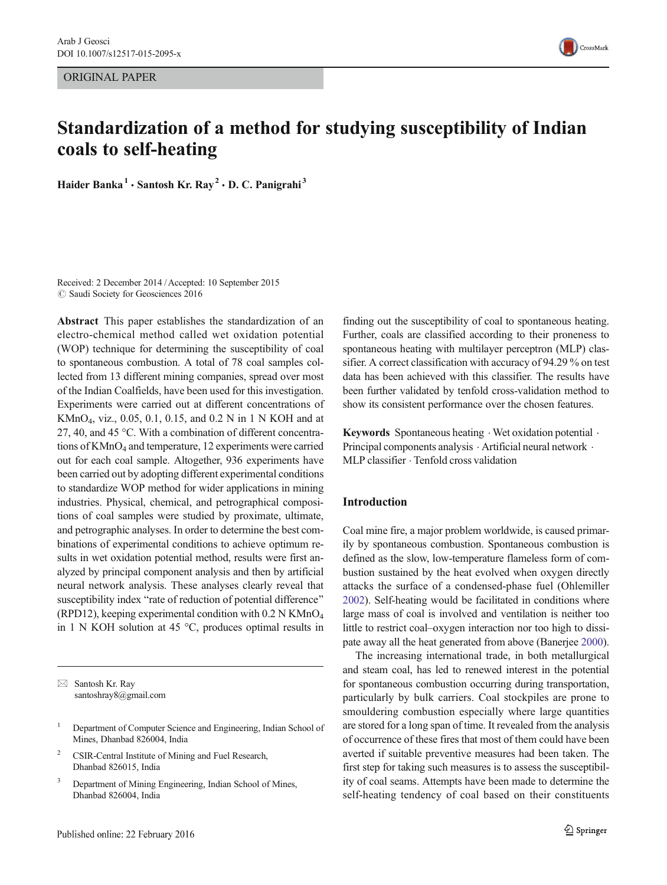ORIGINAL PAPER



# Standardization of a method for studying susceptibility of Indian coals to self-heating

Haider Banka<sup>1</sup> · Santosh Kr. Ray<sup>2</sup> · D. C. Panigrahi<sup>3</sup>

Received: 2 December 2014 /Accepted: 10 September 2015 C Saudi Society for Geosciences 2016

Abstract This paper establishes the standardization of an electro-chemical method called wet oxidation potential (WOP) technique for determining the susceptibility of coal to spontaneous combustion. A total of 78 coal samples collected from 13 different mining companies, spread over most of the Indian Coalfields, have been used for this investigation. Experiments were carried out at different concentrations of KMnO4, viz., 0.05, 0.1, 0.15, and 0.2 N in 1 N KOH and at 27, 40, and 45 °C. With a combination of different concentrations of KMnO<sub>4</sub> and temperature, 12 experiments were carried out for each coal sample. Altogether, 936 experiments have been carried out by adopting different experimental conditions to standardize WOP method for wider applications in mining industries. Physical, chemical, and petrographical compositions of coal samples were studied by proximate, ultimate, and petrographic analyses. In order to determine the best combinations of experimental conditions to achieve optimum results in wet oxidation potential method, results were first analyzed by principal component analysis and then by artificial neural network analysis. These analyses clearly reveal that susceptibility index "rate of reduction of potential difference" (RPD12), keeping experimental condition with  $0.2$  N KMnO<sub>4</sub> in 1 N KOH solution at 45 °C, produces optimal results in

- <sup>2</sup> CSIR-Central Institute of Mining and Fuel Research, Dhanbad 826015, India
- <sup>3</sup> Department of Mining Engineering, Indian School of Mines, Dhanbad 826004, India

finding out the susceptibility of coal to spontaneous heating. Further, coals are classified according to their proneness to spontaneous heating with multilayer perceptron (MLP) classifier. A correct classification with accuracy of 94.29 % on test data has been achieved with this classifier. The results have been further validated by tenfold cross-validation method to show its consistent performance over the chosen features.

Keywords Spontaneous heating  $\cdot$  Wet oxidation potential  $\cdot$ Principal components analysis . Artificial neural network . MLP classifier . Tenfold cross validation

## Introduction

Coal mine fire, a major problem worldwide, is caused primarily by spontaneous combustion. Spontaneous combustion is defined as the slow, low-temperature flameless form of combustion sustained by the heat evolved when oxygen directly attacks the surface of a condensed-phase fuel (Ohlemiller [2002\)](#page-13-0). Self-heating would be facilitated in conditions where large mass of coal is involved and ventilation is neither too little to restrict coal–oxygen interaction nor too high to dissipate away all the heat generated from above (Banerjee [2000\)](#page-12-0).

The increasing international trade, in both metallurgical and steam coal, has led to renewed interest in the potential for spontaneous combustion occurring during transportation, particularly by bulk carriers. Coal stockpiles are prone to smouldering combustion especially where large quantities are stored for a long span of time. It revealed from the analysis of occurrence of these fires that most of them could have been averted if suitable preventive measures had been taken. The first step for taking such measures is to assess the susceptibility of coal seams. Attempts have been made to determine the self-heating tendency of coal based on their constituents

 $\boxtimes$  Santosh Kr. Ray santoshray8@gmail.com

<sup>&</sup>lt;sup>1</sup> Department of Computer Science and Engineering, Indian School of Mines, Dhanbad 826004, India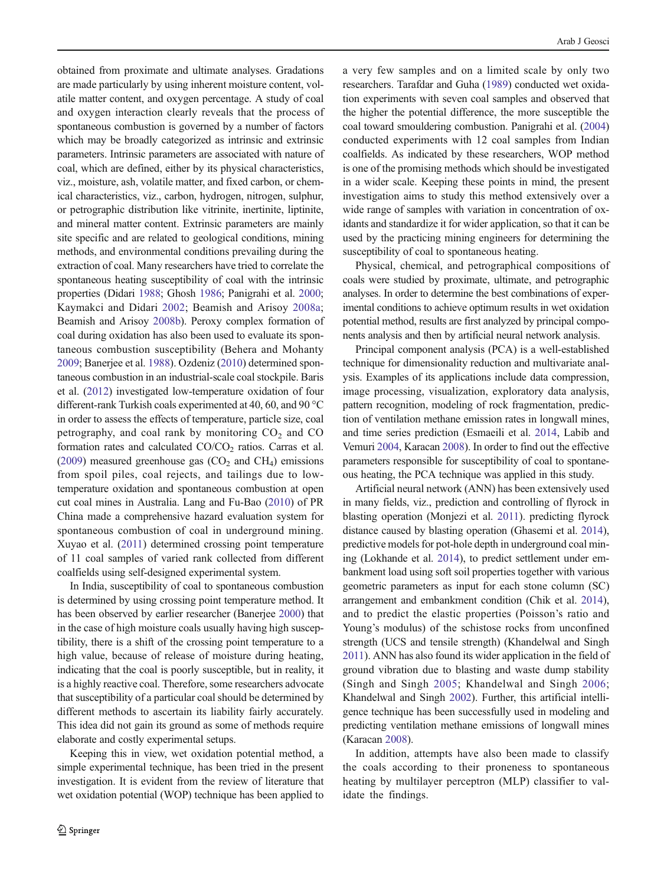obtained from proximate and ultimate analyses. Gradations are made particularly by using inherent moisture content, volatile matter content, and oxygen percentage. A study of coal and oxygen interaction clearly reveals that the process of spontaneous combustion is governed by a number of factors which may be broadly categorized as intrinsic and extrinsic parameters. Intrinsic parameters are associated with nature of coal, which are defined, either by its physical characteristics, viz., moisture, ash, volatile matter, and fixed carbon, or chemical characteristics, viz., carbon, hydrogen, nitrogen, sulphur, or petrographic distribution like vitrinite, inertinite, liptinite, and mineral matter content. Extrinsic parameters are mainly site specific and are related to geological conditions, mining methods, and environmental conditions prevailing during the extraction of coal. Many researchers have tried to correlate the spontaneous heating susceptibility of coal with the intrinsic properties (Didari [1988](#page-12-0); Ghosh [1986;](#page-13-0) Panigrahi et al. [2000](#page-13-0); Kaymakci and Didari [2002](#page-13-0); Beamish and Arisoy [2008a](#page-12-0); Beamish and Arisoy [2008b](#page-12-0)). Peroxy complex formation of coal during oxidation has also been used to evaluate its spontaneous combustion susceptibility (Behera and Mohanty [2009;](#page-12-0) Banerjee et al. [1988\)](#page-12-0). Ozdeniz [\(2010\)](#page-13-0) determined spontaneous combustion in an industrial-scale coal stockpile. Baris et al. ([2012](#page-12-0)) investigated low-temperature oxidation of four different-rank Turkish coals experimented at 40, 60, and 90 °C in order to assess the effects of temperature, particle size, coal petrography, and coal rank by monitoring  $CO<sub>2</sub>$  and  $CO$ formation rates and calculated  $CO/CO<sub>2</sub>$  ratios. Carras et al. [\(2009\)](#page-12-0) measured greenhouse gas  $(CO<sub>2</sub>$  and  $CH<sub>4</sub>)$  emissions from spoil piles, coal rejects, and tailings due to lowtemperature oxidation and spontaneous combustion at open cut coal mines in Australia. Lang and Fu-Bao ([2010](#page-13-0)) of PR China made a comprehensive hazard evaluation system for spontaneous combustion of coal in underground mining. Xuyao et al. [\(2011\)](#page-13-0) determined crossing point temperature of 11 coal samples of varied rank collected from different coalfields using self-designed experimental system.

In India, susceptibility of coal to spontaneous combustion is determined by using crossing point temperature method. It has been observed by earlier researcher (Banerjee [2000\)](#page-12-0) that in the case of high moisture coals usually having high susceptibility, there is a shift of the crossing point temperature to a high value, because of release of moisture during heating, indicating that the coal is poorly susceptible, but in reality, it is a highly reactive coal. Therefore, some researchers advocate that susceptibility of a particular coal should be determined by different methods to ascertain its liability fairly accurately. This idea did not gain its ground as some of methods require elaborate and costly experimental setups.

Keeping this in view, wet oxidation potential method, a simple experimental technique, has been tried in the present investigation. It is evident from the review of literature that wet oxidation potential (WOP) technique has been applied to a very few samples and on a limited scale by only two researchers. Tarafdar and Guha [\(1989\)](#page-13-0) conducted wet oxidation experiments with seven coal samples and observed that the higher the potential difference, the more susceptible the coal toward smouldering combustion. Panigrahi et al. [\(2004](#page-13-0)) conducted experiments with 12 coal samples from Indian coalfields. As indicated by these researchers, WOP method is one of the promising methods which should be investigated in a wider scale. Keeping these points in mind, the present investigation aims to study this method extensively over a wide range of samples with variation in concentration of oxidants and standardize it for wider application, so that it can be used by the practicing mining engineers for determining the susceptibility of coal to spontaneous heating.

Physical, chemical, and petrographical compositions of coals were studied by proximate, ultimate, and petrographic analyses. In order to determine the best combinations of experimental conditions to achieve optimum results in wet oxidation potential method, results are first analyzed by principal components analysis and then by artificial neural network analysis.

Principal component analysis (PCA) is a well-established technique for dimensionality reduction and multivariate analysis. Examples of its applications include data compression, image processing, visualization, exploratory data analysis, pattern recognition, modeling of rock fragmentation, prediction of ventilation methane emission rates in longwall mines, and time series prediction (Esmaeili et al. [2014](#page-12-0), Labib and Vemuri [2004](#page-13-0), Karacan [2008\)](#page-13-0). In order to find out the effective parameters responsible for susceptibility of coal to spontaneous heating, the PCA technique was applied in this study.

Artificial neural network (ANN) has been extensively used in many fields, viz., prediction and controlling of flyrock in blasting operation (Monjezi et al. [2011\)](#page-13-0). predicting flyrock distance caused by blasting operation (Ghasemi et al. [2014\)](#page-12-0), predictive models for pot-hole depth in underground coal mining (Lokhande et al. [2014](#page-13-0)), to predict settlement under embankment load using soft soil properties together with various geometric parameters as input for each stone column (SC) arrangement and embankment condition (Chik et al. [2014\)](#page-12-0), and to predict the elastic properties (Poisson's ratio and Young's modulus) of the schistose rocks from unconfined strength (UCS and tensile strength) (Khandelwal and Singh [2011](#page-13-0)). ANN has also found its wider application in the field of ground vibration due to blasting and waste dump stability (Singh and Singh [2005;](#page-13-0) Khandelwal and Singh [2006;](#page-13-0) Khandelwal and Singh [2002](#page-13-0)). Further, this artificial intelligence technique has been successfully used in modeling and predicting ventilation methane emissions of longwall mines (Karacan [2008\)](#page-13-0).

In addition, attempts have also been made to classify the coals according to their proneness to spontaneous heating by multilayer perceptron (MLP) classifier to validate the findings.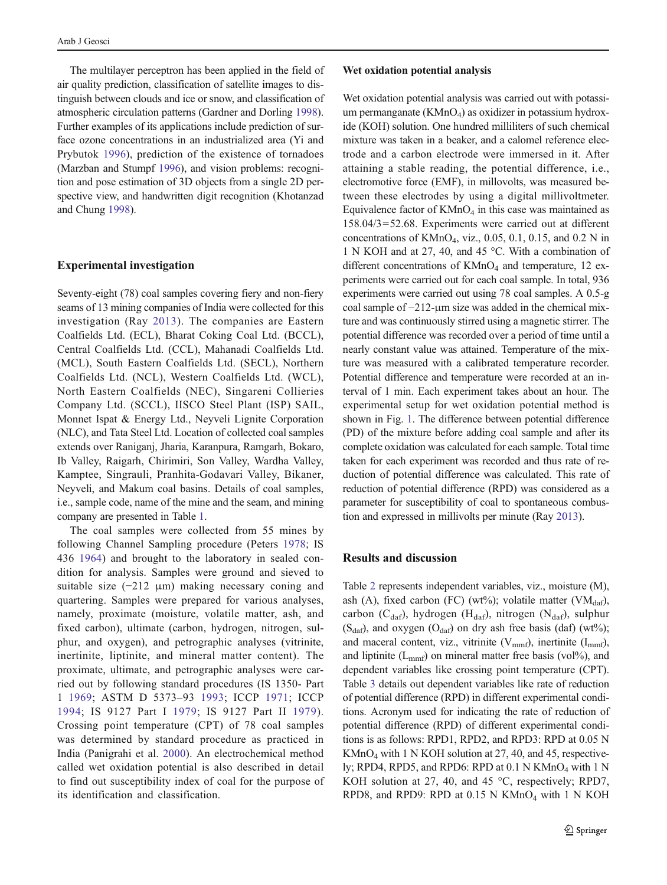The multilayer perceptron has been applied in the field of air quality prediction, classification of satellite images to distinguish between clouds and ice or snow, and classification of atmospheric circulation patterns (Gardner and Dorling [1998\)](#page-12-0). Further examples of its applications include prediction of surface ozone concentrations in an industrialized area (Yi and Prybutok [1996\)](#page-13-0), prediction of the existence of tornadoes (Marzban and Stumpf [1996](#page-13-0)), and vision problems: recognition and pose estimation of 3D objects from a single 2D perspective view, and handwritten digit recognition (Khotanzad and Chung [1998](#page-13-0)).

## Experimental investigation

Seventy-eight (78) coal samples covering fiery and non-fiery seams of 13 mining companies of India were collected for this investigation (Ray [2013](#page-13-0)). The companies are Eastern Coalfields Ltd. (ECL), Bharat Coking Coal Ltd. (BCCL), Central Coalfields Ltd. (CCL), Mahanadi Coalfields Ltd. (MCL), South Eastern Coalfields Ltd. (SECL), Northern Coalfields Ltd. (NCL), Western Coalfields Ltd. (WCL), North Eastern Coalfields (NEC), Singareni Collieries Company Ltd. (SCCL), IISCO Steel Plant (ISP) SAIL, Monnet Ispat & Energy Ltd., Neyveli Lignite Corporation (NLC), and Tata Steel Ltd. Location of collected coal samples extends over Raniganj, Jharia, Karanpura, Ramgarh, Bokaro, Ib Valley, Raigarh, Chirimiri, Son Valley, Wardha Valley, Kamptee, Singrauli, Pranhita-Godavari Valley, Bikaner, Neyveli, and Makum coal basins. Details of coal samples, i.e., sample code, name of the mine and the seam, and mining company are presented in Table [1](#page-3-0).

The coal samples were collected from 55 mines by following Channel Sampling procedure (Peters [1978](#page-13-0); IS 436 [1964](#page-13-0)) and brought to the laboratory in sealed condition for analysis. Samples were ground and sieved to suitable size  $(-212 \mu m)$  making necessary coning and quartering. Samples were prepared for various analyses, namely, proximate (moisture, volatile matter, ash, and fixed carbon), ultimate (carbon, hydrogen, nitrogen, sulphur, and oxygen), and petrographic analyses (vitrinite, inertinite, liptinite, and mineral matter content). The proximate, ultimate, and petrographic analyses were carried out by following standard procedures (IS 1350- Part 1 [1969](#page-13-0); ASTM D 5373–93 [1993](#page-12-0); ICCP [1971](#page-13-0); ICCP [1994;](#page-13-0) IS 9127 Part I [1979;](#page-13-0) IS 9127 Part II [1979](#page-13-0)). Crossing point temperature (CPT) of 78 coal samples was determined by standard procedure as practiced in India (Panigrahi et al. [2000\)](#page-13-0). An electrochemical method called wet oxidation potential is also described in detail to find out susceptibility index of coal for the purpose of its identification and classification.

#### Wet oxidation potential analysis

Wet oxidation potential analysis was carried out with potassium permanganate  $(KMnO<sub>4</sub>)$  as oxidizer in potassium hydroxide (KOH) solution. One hundred milliliters of such chemical mixture was taken in a beaker, and a calomel reference electrode and a carbon electrode were immersed in it. After attaining a stable reading, the potential difference, i.e., electromotive force (EMF), in millovolts, was measured between these electrodes by using a digital millivoltmeter. Equivalence factor of  $KMnO<sub>4</sub>$  in this case was maintained as 158.04/3=52.68. Experiments were carried out at different concentrations of  $KMnO<sub>4</sub>$ , viz., 0.05, 0.1, 0.15, and 0.2 N in 1 N KOH and at 27, 40, and 45 °C. With a combination of different concentrations of  $KMnO_4$  and temperature, 12 experiments were carried out for each coal sample. In total, 936 experiments were carried out using 78 coal samples. A 0.5-g coal sample of −212-μm size was added in the chemical mixture and was continuously stirred using a magnetic stirrer. The potential difference was recorded over a period of time until a nearly constant value was attained. Temperature of the mixture was measured with a calibrated temperature recorder. Potential difference and temperature were recorded at an interval of 1 min. Each experiment takes about an hour. The experimental setup for wet oxidation potential method is shown in Fig. [1](#page-4-0). The difference between potential difference (PD) of the mixture before adding coal sample and after its complete oxidation was calculated for each sample. Total time taken for each experiment was recorded and thus rate of reduction of potential difference was calculated. This rate of reduction of potential difference (RPD) was considered as a parameter for susceptibility of coal to spontaneous combustion and expressed in millivolts per minute (Ray [2013\)](#page-13-0).

## Results and discussion

Table [2](#page-5-0) represents independent variables, viz., moisture (M), ash (A), fixed carbon (FC) (wt%); volatile matter (VM $_{\text{daf}}$ ), carbon (C<sub>daf</sub>), hydrogen (H<sub>daf</sub>), nitrogen (N<sub>daf</sub>), sulphur (S<sub>daf</sub>), and oxygen (O<sub>daf</sub>) on dry ash free basis (daf) (wt%); and maceral content, viz., vitrinite  $(V_{mmf})$ , inertinite  $(I_{mmf})$ , and liptinite  $(L_{mmf})$  on mineral matter free basis (vol%), and dependent variables like crossing point temperature (CPT). Table [3](#page-6-0) details out dependent variables like rate of reduction of potential difference (RPD) in different experimental conditions. Acronym used for indicating the rate of reduction of potential difference (RPD) of different experimental conditions is as follows: RPD1, RPD2, and RPD3: RPD at 0.05 N  $KMnO<sub>4</sub>$  with 1 N KOH solution at 27, 40, and 45, respectively; RPD4, RPD5, and RPD6: RPD at  $0.1$  N KMn $O<sub>4</sub>$  with  $1$  N KOH solution at 27, 40, and 45 °C, respectively; RPD7, RPD8, and RPD9: RPD at 0.15 N KMnO4 with 1 N KOH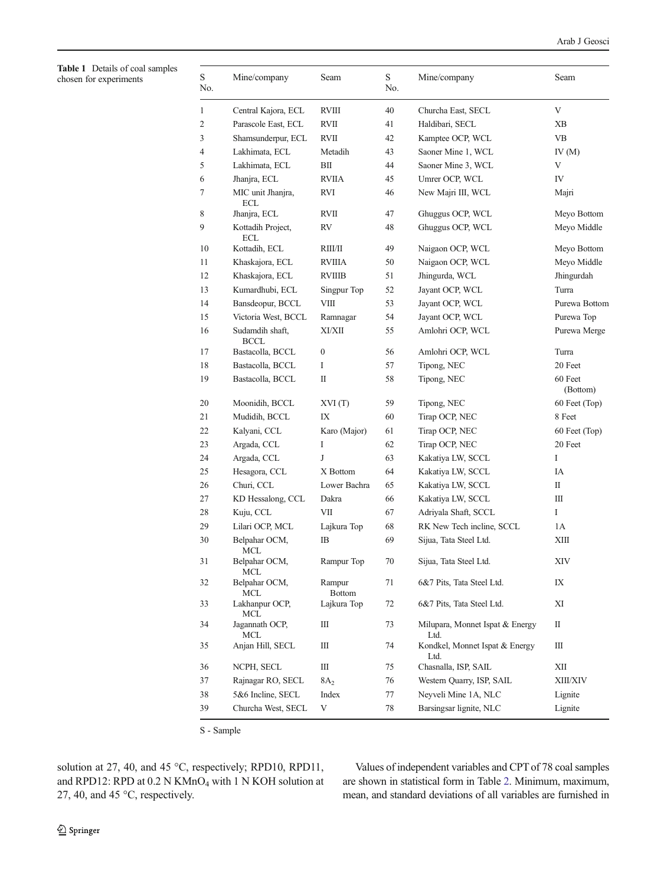<span id="page-3-0"></span>Table 1 Details of coal samples chosen for experiments

| $\mathbf S$<br>No. | Mine/company                    | Seam                    | S<br>No. | Mine/company                            | Seam                |
|--------------------|---------------------------------|-------------------------|----------|-----------------------------------------|---------------------|
| $\mathbf{1}$       | Central Kajora, ECL             | RVIII                   | 40       | Churcha East, SECL                      | V                   |
| 2                  | Parascole East, ECL             | <b>RVII</b>             | 41       | Haldibari, SECL                         | ΧB                  |
| 3                  | Shamsunderpur, ECL              | RVII                    | 42       | Kamptee OCP, WCL                        | VB                  |
| 4                  | Lakhimata, ECL                  | Metadih                 | 43       | Saoner Mine 1, WCL                      | IV $(M)$            |
| 5                  | Lakhimata, ECL                  | BП                      | 44       | Saoner Mine 3, WCL                      | V                   |
| 6                  | Jhanjra, ECL                    | <b>RVIIA</b>            | 45       | Umrer OCP, WCL                          | IV                  |
| 7                  | MIC unit Jhanjra,<br><b>ECL</b> | RVI                     | 46       | New Majri III, WCL                      | Majri               |
| 8                  | Jhanjra, ECL                    | RVII                    | 47       | Ghuggus OCP, WCL                        | Meyo Bottom         |
| 9                  | Kottadih Project,<br><b>ECL</b> | RV                      | 48       | Ghuggus OCP, WCL                        | Meyo Middle         |
| 10                 | Kottadih, ECL                   | RIII/II                 | 49       | Naigaon OCP, WCL                        | Meyo Bottom         |
| 11                 | Khaskajora, ECL                 | <b>RVIIIA</b>           | 50       | Naigaon OCP, WCL                        | Meyo Middle         |
| 12                 | Khaskajora, ECL                 | <b>RVIIIB</b>           | 51       | Jhingurda, WCL                          | Jhingurdah          |
| 13                 | Kumardhubi, ECL                 | Singpur Top             | 52       | Jayant OCP, WCL                         | Turra               |
| 14                 | Bansdeopur, BCCL                | VШ                      | 53       | Jayant OCP, WCL                         | Purewa Bottom       |
| 15                 | Victoria West, BCCL             | Ramnagar                | 54       | Jayant OCP, WCL                         | Purewa Top          |
| 16                 | Sudamdih shaft,<br><b>BCCL</b>  | XI/XII                  | 55       | Amlohri OCP, WCL                        | Purewa Merge        |
| 17                 | Bastacolla, BCCL                | $\mathbf{0}$            | 56       | Amlohri OCP, WCL                        | Turra               |
| 18                 | Bastacolla, BCCL                | Ι                       | 57       | Tipong, NEC                             | 20 Feet             |
| 19                 | Bastacolla, BCCL                | П                       | 58       | Tipong, NEC                             | 60 Feet<br>(Bottom) |
| 20                 | Moonidih, BCCL                  | XVI(T)                  | 59       | Tipong, NEC                             | 60 Feet (Top)       |
| 21                 | Mudidih, BCCL                   | IX                      | 60       | Tirap OCP, NEC                          | 8 Feet              |
| 22                 | Kalyani, CCL                    | Karo (Major)            | 61       | Tirap OCP, NEC                          | 60 Feet (Top)       |
| 23                 | Argada, CCL                     | I                       | 62       | Tirap OCP, NEC                          | 20 Feet             |
| 24                 | Argada, CCL                     | J                       | 63       | Kakatiya LW, SCCL                       | Ι                   |
| 25                 | Hesagora, CCL                   | X Bottom                | 64       | Kakatiya LW, SCCL                       | IA                  |
| 26                 | Churi, CCL                      | Lower Bachra            | 65       | Kakatiya LW, SCCL                       | П                   |
| 27                 | KD Hessalong, CCL               | Dakra                   | 66       | Kakatiya LW, SCCL                       | Ш                   |
| 28                 | Kuju, CCL                       | VII                     | 67       | Adriyala Shaft, SCCL                    | I                   |
| 29                 | Lilari OCP, MCL                 | Lajkura Top             | 68       | RK New Tech incline, SCCL               | 1 A                 |
| 30                 | Belpahar OCM,<br>MCL            | IB                      | 69       | Sijua, Tata Steel Ltd.                  | XIII                |
| 31                 | Belpahar OCM,<br>MCL            | Rampur Top              | 70       | Sijua, Tata Steel Ltd.                  | XIV                 |
| 32                 | Belpahar OCM,<br>MCL            | Rampur<br><b>Bottom</b> | 71       | 6&7 Pits, Tata Steel Ltd.               | IX                  |
| 33                 | Lakhanpur OCP,<br>MCL           | Lajkura Top             | 72       | 6&7 Pits, Tata Steel Ltd.               | ΧI                  |
| 34                 | Jagannath OCP,<br>MCL           | Ш                       | 73       | Milupara, Monnet Ispat & Energy<br>Ltd. | П                   |
| 35                 | Anjan Hill, SECL                | Ш                       | 74       | Kondkel, Monnet Ispat & Energy<br>Ltd.  | Ш                   |
| 36                 | NCPH, SECL                      | $\rm III$               | 75       | Chasnalla, ISP, SAIL                    | XII                 |
| 37                 | Rajnagar RO, SECL               | 8A <sub>2</sub>         | 76       | Western Quarry, ISP, SAIL               | XIII/XIV            |
| 38                 | 5&6 Incline, SECL               | Index                   | 77       | Neyveli Mine 1A, NLC                    | Lignite             |
| 39                 | Churcha West, SECL              | V                       | 78       | Barsingsar lignite, NLC                 | Lignite             |

S - Sample

solution at 27, 40, and 45 °C, respectively; RPD10, RPD11, and RPD12: RPD at 0.2 N KMnO<sub>4</sub> with 1 N KOH solution at 27, 40, and 45 °C, respectively.

Values of independent variables and CPT of 78 coal samples are shown in statistical form in Table [2.](#page-5-0) Minimum, maximum, mean, and standard deviations of all variables are furnished in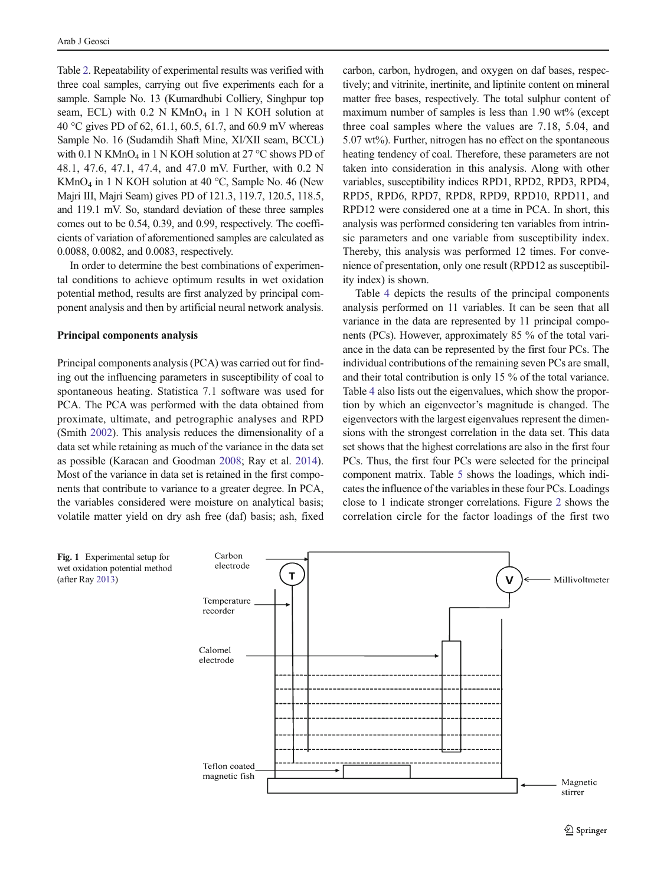<span id="page-4-0"></span>Table [2.](#page-5-0) Repeatability of experimental results was verified with three coal samples, carrying out five experiments each for a sample. Sample No. 13 (Kumardhubi Colliery, Singhpur top seam, ECL) with  $0.2$  N KMnO<sub>4</sub> in 1 N KOH solution at 40 °C gives PD of 62, 61.1, 60.5, 61.7, and 60.9 mV whereas Sample No. 16 (Sudamdih Shaft Mine, XI/XII seam, BCCL) with 0.1 N KMnO<sub>4</sub> in 1 N KOH solution at 27 °C shows PD of 48.1, 47.6, 47.1, 47.4, and 47.0 mV. Further, with 0.2 N KMnO<sub>4</sub> in 1 N KOH solution at 40 °C, Sample No. 46 (New Majri III, Majri Seam) gives PD of 121.3, 119.7, 120.5, 118.5, and 119.1 mV. So, standard deviation of these three samples comes out to be 0.54, 0.39, and 0.99, respectively. The coefficients of variation of aforementioned samples are calculated as 0.0088, 0.0082, and 0.0083, respectively.

In order to determine the best combinations of experimental conditions to achieve optimum results in wet oxidation potential method, results are first analyzed by principal component analysis and then by artificial neural network analysis.

#### Principal components analysis

Principal components analysis (PCA) was carried out for finding out the influencing parameters in susceptibility of coal to spontaneous heating. Statistica 7.1 software was used for PCA. The PCA was performed with the data obtained from proximate, ultimate, and petrographic analyses and RPD (Smith [2002](#page-13-0)). This analysis reduces the dimensionality of a data set while retaining as much of the variance in the data set as possible (Karacan and Goodman [2008;](#page-13-0) Ray et al. [2014\)](#page-13-0). Most of the variance in data set is retained in the first components that contribute to variance to a greater degree. In PCA, the variables considered were moisture on analytical basis; volatile matter yield on dry ash free (daf) basis; ash, fixed carbon, carbon, hydrogen, and oxygen on daf bases, respectively; and vitrinite, inertinite, and liptinite content on mineral matter free bases, respectively. The total sulphur content of maximum number of samples is less than  $1.90 \text{ wt}$ % (except three coal samples where the values are 7.18, 5.04, and 5.07 wt%). Further, nitrogen has no effect on the spontaneous heating tendency of coal. Therefore, these parameters are not taken into consideration in this analysis. Along with other variables, susceptibility indices RPD1, RPD2, RPD3, RPD4, RPD5, RPD6, RPD7, RPD8, RPD9, RPD10, RPD11, and RPD12 were considered one at a time in PCA. In short, this analysis was performed considering ten variables from intrinsic parameters and one variable from susceptibility index. Thereby, this analysis was performed 12 times. For convenience of presentation, only one result (RPD12 as susceptibility index) is shown.

Table [4](#page-7-0) depicts the results of the principal components analysis performed on 11 variables. It can be seen that all variance in the data are represented by 11 principal components (PCs). However, approximately 85 % of the total variance in the data can be represented by the first four PCs. The individual contributions of the remaining seven PCs are small, and their total contribution is only 15 % of the total variance. Table [4](#page-7-0) also lists out the eigenvalues, which show the proportion by which an eigenvector's magnitude is changed. The eigenvectors with the largest eigenvalues represent the dimensions with the strongest correlation in the data set. This data set shows that the highest correlations are also in the first four PCs. Thus, the first four PCs were selected for the principal component matrix. Table [5](#page-8-0) shows the loadings, which indicates the influence of the variables in these four PCs. Loadings close to 1 indicate stronger correlations. Figure [2](#page-8-0) shows the correlation circle for the factor loadings of the first two



Fig. 1 Experimental setup for wet oxidation potential method (after Ray [2013\)](#page-13-0)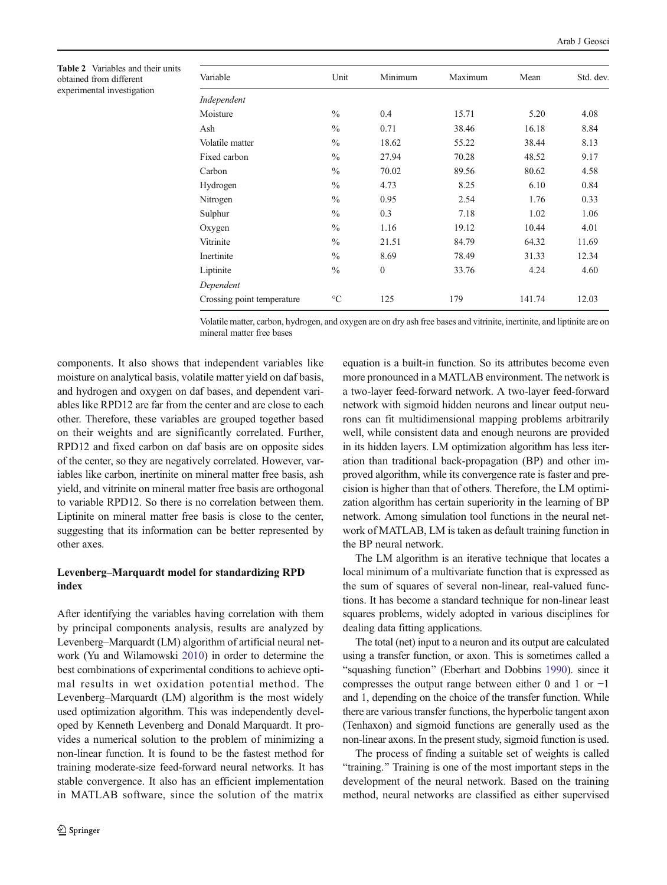<span id="page-5-0"></span>Table 2 Variables and their units obtained from different experimental investigation

| Variable                   | Unit            | Minimum      | Maximum | Mean   | Std. dev. |
|----------------------------|-----------------|--------------|---------|--------|-----------|
| Independent                |                 |              |         |        |           |
| Moisture                   | $\frac{0}{0}$   | 0.4          | 15.71   | 5.20   | 4.08      |
| Ash                        | $\frac{0}{0}$   | 0.71         | 38.46   | 16.18  | 8.84      |
| Volatile matter            | $\frac{0}{0}$   | 18.62        | 55.22   | 38.44  | 8.13      |
| Fixed carbon               | $\frac{0}{0}$   | 27.94        | 70.28   | 48.52  | 9.17      |
| Carbon                     | $\frac{0}{0}$   | 70.02        | 89.56   | 80.62  | 4.58      |
| Hydrogen                   | $\frac{0}{0}$   | 4.73         | 8.25    | 6.10   | 0.84      |
| Nitrogen                   | $\frac{0}{0}$   | 0.95         | 2.54    | 1.76   | 0.33      |
| Sulphur                    | $\frac{0}{0}$   | 0.3          | 7.18    | 1.02   | 1.06      |
| Oxygen                     | $\frac{0}{0}$   | 1.16         | 19.12   | 10.44  | 4.01      |
| Vitrinite                  | $\frac{0}{0}$   | 21.51        | 84.79   | 64.32  | 11.69     |
| Inertinite                 | $\frac{0}{0}$   | 8.69         | 78.49   | 31.33  | 12.34     |
| Liptinite                  | $\frac{0}{0}$   | $\mathbf{0}$ | 33.76   | 4.24   | 4.60      |
| Dependent                  |                 |              |         |        |           |
| Crossing point temperature | $\rm ^{\circ}C$ | 125          | 179     | 141.74 | 12.03     |
|                            |                 |              |         |        |           |

Volatile matter, carbon, hydrogen, and oxygen are on dry ash free bases and vitrinite, inertinite, and liptinite are on mineral matter free bases

components. It also shows that independent variables like moisture on analytical basis, volatile matter yield on daf basis, and hydrogen and oxygen on daf bases, and dependent variables like RPD12 are far from the center and are close to each other. Therefore, these variables are grouped together based on their weights and are significantly correlated. Further, RPD12 and fixed carbon on daf basis are on opposite sides of the center, so they are negatively correlated. However, variables like carbon, inertinite on mineral matter free basis, ash yield, and vitrinite on mineral matter free basis are orthogonal to variable RPD12. So there is no correlation between them. Liptinite on mineral matter free basis is close to the center, suggesting that its information can be better represented by other axes.

# Levenberg–Marquardt model for standardizing RPD index

After identifying the variables having correlation with them by principal components analysis, results are analyzed by Levenberg–Marquardt (LM) algorithm of artificial neural network (Yu and Wilamowski [2010](#page-13-0)) in order to determine the best combinations of experimental conditions to achieve optimal results in wet oxidation potential method. The Levenberg–Marquardt (LM) algorithm is the most widely used optimization algorithm. This was independently developed by Kenneth Levenberg and Donald Marquardt. It provides a numerical solution to the problem of minimizing a non-linear function. It is found to be the fastest method for training moderate-size feed-forward neural networks. It has stable convergence. It also has an efficient implementation in MATLAB software, since the solution of the matrix equation is a built-in function. So its attributes become even more pronounced in a MATLAB environment. The network is a two-layer feed-forward network. A two-layer feed-forward network with sigmoid hidden neurons and linear output neurons can fit multidimensional mapping problems arbitrarily well, while consistent data and enough neurons are provided in its hidden layers. LM optimization algorithm has less iteration than traditional back-propagation (BP) and other improved algorithm, while its convergence rate is faster and precision is higher than that of others. Therefore, the LM optimization algorithm has certain superiority in the learning of BP network. Among simulation tool functions in the neural network of MATLAB, LM is taken as default training function in the BP neural network.

The LM algorithm is an iterative technique that locates a local minimum of a multivariate function that is expressed as the sum of squares of several non-linear, real-valued functions. It has become a standard technique for non-linear least squares problems, widely adopted in various disciplines for dealing data fitting applications.

The total (net) input to a neuron and its output are calculated using a transfer function, or axon. This is sometimes called a "squashing function" (Eberhart and Dobbins [1990](#page-12-0)). since it compresses the output range between either 0 and 1 or −1 and 1, depending on the choice of the transfer function. While there are various transfer functions, the hyperbolic tangent axon (Tenhaxon) and sigmoid functions are generally used as the non-linear axons. In the present study, sigmoid function is used.

The process of finding a suitable set of weights is called "training." Training is one of the most important steps in the development of the neural network. Based on the training method, neural networks are classified as either supervised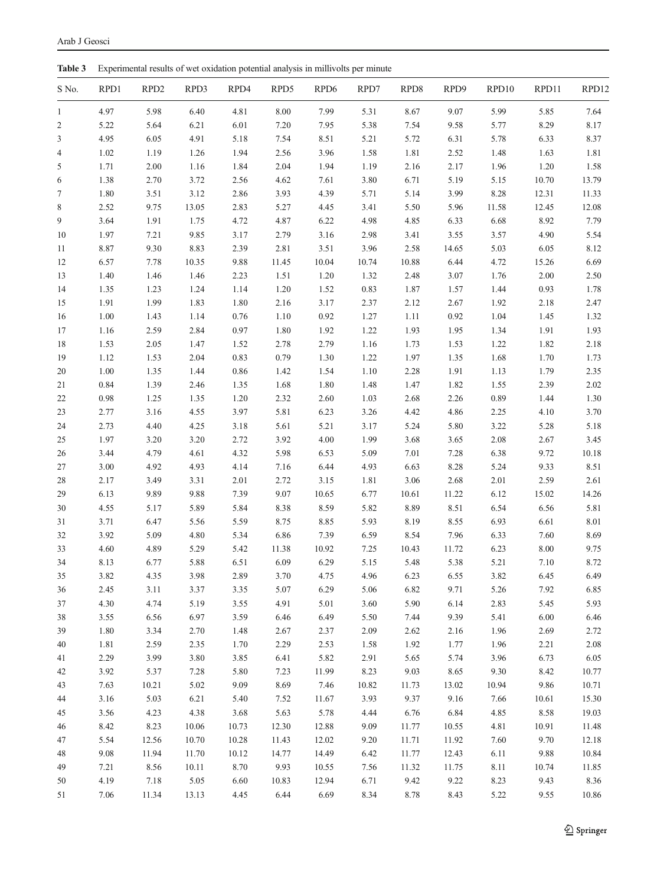<span id="page-6-0"></span>

| Table 3        |      |                  |       |       | Experimental results of wet oxidation potential analysis in millivolts per minute |                  |              |       |       |              |       |       |
|----------------|------|------------------|-------|-------|-----------------------------------------------------------------------------------|------------------|--------------|-------|-------|--------------|-------|-------|
| S No.          | RPD1 | RPD <sub>2</sub> | RPD3  | RPD4  | RPD5                                                                              | RPD <sub>6</sub> | RPD7         | RPD8  | RPD9  | RPD10        | RPD11 | RPD12 |
| $\mathbf{1}$   | 4.97 | 5.98             | 6.40  | 4.81  | 8.00                                                                              | 7.99             | 5.31         | 8.67  | 9.07  | 5.99         | 5.85  | 7.64  |
| $\mathfrak{2}$ | 5.22 | 5.64             | 6.21  | 6.01  | 7.20                                                                              | 7.95             | 5.38         | 7.54  | 9.58  | 5.77         | 8.29  | 8.17  |
| 3              | 4.95 | 6.05             | 4.91  | 5.18  | 7.54                                                                              | 8.51             | 5.21         | 5.72  | 6.31  | 5.78         | 6.33  | 8.37  |
| $\overline{4}$ | 1.02 | 1.19             | 1.26  | 1.94  | 2.56                                                                              | 3.96             | 1.58         | 1.81  | 2.52  | 1.48         | 1.63  | 1.81  |
| 5              | 1.71 | $2.00\,$         | 1.16  | 1.84  | 2.04                                                                              | 1.94             | 1.19         | 2.16  | 2.17  | 1.96         | 1.20  | 1.58  |
| 6              | 1.38 | 2.70             | 3.72  | 2.56  | 4.62                                                                              | 7.61             | 3.80         | 6.71  | 5.19  | 5.15         | 10.70 | 13.79 |
| $\tau$         | 1.80 | 3.51             | 3.12  | 2.86  | 3.93                                                                              | 4.39             | 5.71         | 5.14  | 3.99  | 8.28         | 12.31 | 11.33 |
| 8              | 2.52 | 9.75             | 13.05 | 2.83  | 5.27                                                                              | 4.45             | 3.41         | 5.50  | 5.96  | 11.58        | 12.45 | 12.08 |
| 9              | 3.64 | 1.91             | 1.75  | 4.72  | 4.87                                                                              | 6.22             | 4.98         | 4.85  | 6.33  | 6.68         | 8.92  | 7.79  |
| 10             | 1.97 | 7.21             | 9.85  | 3.17  | 2.79                                                                              | 3.16             | 2.98         | 3.41  | 3.55  | 3.57         | 4.90  | 5.54  |
| 11             | 8.87 | 9.30             | 8.83  | 2.39  | 2.81                                                                              | 3.51             | 3.96         | 2.58  | 14.65 | 5.03         | 6.05  | 8.12  |
| 12             | 6.57 | 7.78             | 10.35 | 9.88  | 11.45                                                                             | 10.04            | 10.74        | 10.88 | 6.44  | 4.72         | 15.26 | 6.69  |
| 13             | 1.40 | 1.46             | 1.46  | 2.23  | 1.51                                                                              | 1.20             | 1.32         | 2.48  | 3.07  | 1.76         | 2.00  | 2.50  |
| 14             | 1.35 | 1.23             | 1.24  | 1.14  | 1.20                                                                              | 1.52             | 0.83         | 1.87  | 1.57  | 1.44         | 0.93  | 1.78  |
| 15             | 1.91 | 1.99             | 1.83  | 1.80  | 2.16                                                                              | 3.17             | 2.37         | 2.12  | 2.67  | 1.92         | 2.18  | 2.47  |
| 16             | 1.00 | 1.43             | 1.14  | 0.76  | 1.10                                                                              | 0.92             | 1.27         | 1.11  | 0.92  | 1.04         | 1.45  | 1.32  |
| 17             | 1.16 | 2.59             | 2.84  | 0.97  | 1.80                                                                              | 1.92             | 1.22         | 1.93  | 1.95  | 1.34         | 1.91  | 1.93  |
| 18             | 1.53 | 2.05             | 1.47  | 1.52  | 2.78                                                                              | 2.79             | 1.16         | 1.73  | 1.53  | 1.22         | 1.82  | 2.18  |
| 19             | 1.12 | 1.53             | 2.04  | 0.83  | 0.79                                                                              | 1.30             | 1.22         | 1.97  | 1.35  | 1.68         | 1.70  | 1.73  |
| 20             | 1.00 | 1.35             | 1.44  | 0.86  | 1.42                                                                              | 1.54             | 1.10         | 2.28  | 1.91  | 1.13         | 1.79  | 2.35  |
| 21             | 0.84 | 1.39             | 2.46  | 1.35  | 1.68                                                                              | 1.80             | 1.48         | 1.47  | 1.82  | 1.55         | 2.39  | 2.02  |
| $22\,$         | 0.98 | 1.25             | 1.35  | 1.20  | 2.32                                                                              | 2.60             | 1.03         | 2.68  | 2.26  | 0.89         | 1.44  | 1.30  |
| 23             | 2.77 | 3.16             | 4.55  | 3.97  | 5.81                                                                              | 6.23             | 3.26         | 4.42  | 4.86  | 2.25         | 4.10  | 3.70  |
| 24             | 2.73 | 4.40             | 4.25  | 3.18  | 5.61                                                                              | 5.21             | 3.17         | 5.24  | 5.80  | 3.22         | 5.28  | 5.18  |
| 25             | 1.97 | 3.20             | 3.20  | 2.72  | 3.92                                                                              | 4.00             | 1.99         | 3.68  | 3.65  | 2.08         | 2.67  | 3.45  |
| 26             | 3.44 | 4.79             | 4.61  | 4.32  | 5.98                                                                              | 6.53             | 5.09         | 7.01  | 7.28  | 6.38         | 9.72  | 10.18 |
| 27             | 3.00 | 4.92             | 4.93  | 4.14  | 7.16                                                                              | 6.44             | 4.93         | 6.63  | 8.28  | 5.24         | 9.33  | 8.51  |
| $28\,$         | 2.17 | 3.49             | 3.31  | 2.01  | 2.72                                                                              | 3.15             | 1.81         | 3.06  | 2.68  | 2.01         | 2.59  | 2.61  |
| 29             | 6.13 | 9.89             | 9.88  | 7.39  | 9.07                                                                              | 10.65            | 6.77         | 10.61 | 11.22 | 6.12         | 15.02 | 14.26 |
| 30             | 4.55 | 5.17             | 5.89  | 5.84  | 8.38                                                                              | 8.59             | 5.82         | 8.89  | 8.51  | 6.54         | 6.56  | 5.81  |
| 31             | 3.71 | 6.47             | 5.56  | 5.59  | 8.75                                                                              | 8.85             | 5.93         | 8.19  | 8.55  | 6.93         | 6.61  | 8.01  |
| 32             | 3.92 | 5.09             | 4.80  | 5.34  | 6.86                                                                              | 7.39             | 6.59         | 8.54  | 7.96  | 6.33         | 7.60  | 8.69  |
| 33             | 4.60 | 4.89             | 5.29  | 5.42  | 11.38                                                                             | 10.92            | 7.25         | 10.43 | 11.72 | 6.23         | 8.00  | 9.75  |
| 34             | 8.13 | 6.77             | 5.88  | 6.51  | 6.09                                                                              | 6.29             |              | 5.48  |       |              | 7.10  | 8.72  |
|                |      | 4.35             |       |       | 3.70                                                                              | 4.75             | 5.15<br>4.96 |       | 5.38  | 5.21<br>3.82 |       | 6.49  |
| 35             | 3.82 |                  | 3.98  | 2.89  |                                                                                   |                  |              | 6.23  | 6.55  |              | 6.45  |       |
| 36             | 2.45 | 3.11             | 3.37  | 3.35  | 5.07                                                                              | 6.29             | 5.06         | 6.82  | 9.71  | 5.26         | 7.92  | 6.85  |
| 37             | 4.30 | 4.74             | 5.19  | 3.55  | 4.91                                                                              | 5.01             | 3.60         | 5.90  | 6.14  | 2.83         | 5.45  | 5.93  |
| 38             | 3.55 | 6.56             | 6.97  | 3.59  | 6.46                                                                              | 6.49             | 5.50         | 7.44  | 9.39  | 5.41         | 6.00  | 6.46  |
| 39             | 1.80 | 3.34             | 2.70  | 1.48  | 2.67                                                                              | 2.37             | 2.09         | 2.62  | 2.16  | 1.96         | 2.69  | 2.72  |
| 40             | 1.81 | 2.59             | 2.35  | 1.70  | 2.29                                                                              | 2.53             | 1.58         | 1.92  | 1.77  | 1.96         | 2.21  | 2.08  |
| 41             | 2.29 | 3.99             | 3.80  | 3.85  | 6.41                                                                              | 5.82             | 2.91         | 5.65  | 5.74  | 3.96         | 6.73  | 6.05  |
| 42             | 3.92 | 5.37             | 7.28  | 5.80  | 7.23                                                                              | 11.99            | 8.23         | 9.03  | 8.65  | 9.30         | 8.42  | 10.77 |
| 43             | 7.63 | 10.21            | 5.02  | 9.09  | 8.69                                                                              | 7.46             | 10.82        | 11.73 | 13.02 | 10.94        | 9.86  | 10.71 |
| 44             | 3.16 | 5.03             | 6.21  | 5.40  | 7.52                                                                              | 11.67            | 3.93         | 9.37  | 9.16  | 7.66         | 10.61 | 15.30 |
| 45             | 3.56 | 4.23             | 4.38  | 3.68  | 5.63                                                                              | 5.78             | 4.44         | 6.76  | 6.84  | 4.85         | 8.58  | 19.03 |
| 46             | 8.42 | 8.23             | 10.06 | 10.73 | 12.30                                                                             | 12.88            | 9.09         | 11.77 | 10.55 | 4.81         | 10.91 | 11.48 |
| 47             | 5.54 | 12.56            | 10.70 | 10.28 | 11.43                                                                             | 12.02            | 9.20         | 11.71 | 11.92 | 7.60         | 9.70  | 12.18 |
| 48             | 9.08 | 11.94            | 11.70 | 10.12 | 14.77                                                                             | 14.49            | 6.42         | 11.77 | 12.43 | 6.11         | 9.88  | 10.84 |
| 49             | 7.21 | 8.56             | 10.11 | 8.70  | 9.93                                                                              | 10.55            | 7.56         | 11.32 | 11.75 | 8.11         | 10.74 | 11.85 |
| 50             | 4.19 | 7.18             | 5.05  | 6.60  | 10.83                                                                             | 12.94            | 6.71         | 9.42  | 9.22  | 8.23         | 9.43  | 8.36  |
| 51             | 7.06 | 11.34            | 13.13 | 4.45  | 6.44                                                                              | 6.69             | 8.34         | 8.78  | 8.43  | 5.22         | 9.55  | 10.86 |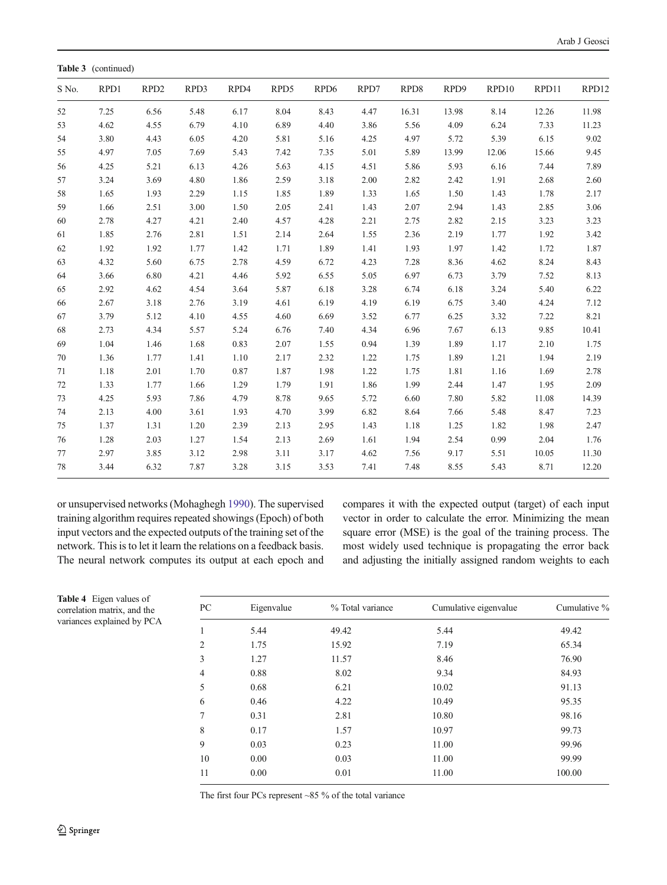<span id="page-7-0"></span>

|       | Table 3 (continued) |                  |      |      |      |                  |      |       |       |       |       |       |
|-------|---------------------|------------------|------|------|------|------------------|------|-------|-------|-------|-------|-------|
| S No. | RPD1                | RPD <sub>2</sub> | RPD3 | RPD4 | RPD5 | RPD <sub>6</sub> | RPD7 | RPD8  | RPD9  | RPD10 | RPD11 | RPD12 |
| 52    | 7.25                | 6.56             | 5.48 | 6.17 | 8.04 | 8.43             | 4.47 | 16.31 | 13.98 | 8.14  | 12.26 | 11.98 |
| 53    | 4.62                | 4.55             | 6.79 | 4.10 | 6.89 | 4.40             | 3.86 | 5.56  | 4.09  | 6.24  | 7.33  | 11.23 |
| 54    | 3.80                | 4.43             | 6.05 | 4.20 | 5.81 | 5.16             | 4.25 | 4.97  | 5.72  | 5.39  | 6.15  | 9.02  |
| 55    | 4.97                | 7.05             | 7.69 | 5.43 | 7.42 | 7.35             | 5.01 | 5.89  | 13.99 | 12.06 | 15.66 | 9.45  |
| 56    | 4.25                | 5.21             | 6.13 | 4.26 | 5.63 | 4.15             | 4.51 | 5.86  | 5.93  | 6.16  | 7.44  | 7.89  |
| 57    | 3.24                | 3.69             | 4.80 | 1.86 | 2.59 | 3.18             | 2.00 | 2.82  | 2.42  | 1.91  | 2.68  | 2.60  |
| 58    | 1.65                | 1.93             | 2.29 | 1.15 | 1.85 | 1.89             | 1.33 | 1.65  | 1.50  | 1.43  | 1.78  | 2.17  |
| 59    | 1.66                | 2.51             | 3.00 | 1.50 | 2.05 | 2.41             | 1.43 | 2.07  | 2.94  | 1.43  | 2.85  | 3.06  |
| 60    | 2.78                | 4.27             | 4.21 | 2.40 | 4.57 | 4.28             | 2.21 | 2.75  | 2.82  | 2.15  | 3.23  | 3.23  |
| 61    | 1.85                | 2.76             | 2.81 | 1.51 | 2.14 | 2.64             | 1.55 | 2.36  | 2.19  | 1.77  | 1.92  | 3.42  |
| 62    | 1.92                | 1.92             | 1.77 | 1.42 | 1.71 | 1.89             | 1.41 | 1.93  | 1.97  | 1.42  | 1.72  | 1.87  |
| 63    | 4.32                | 5.60             | 6.75 | 2.78 | 4.59 | 6.72             | 4.23 | 7.28  | 8.36  | 4.62  | 8.24  | 8.43  |
| 64    | 3.66                | 6.80             | 4.21 | 4.46 | 5.92 | 6.55             | 5.05 | 6.97  | 6.73  | 3.79  | 7.52  | 8.13  |
| 65    | 2.92                | 4.62             | 4.54 | 3.64 | 5.87 | 6.18             | 3.28 | 6.74  | 6.18  | 3.24  | 5.40  | 6.22  |
| 66    | 2.67                | 3.18             | 2.76 | 3.19 | 4.61 | 6.19             | 4.19 | 6.19  | 6.75  | 3.40  | 4.24  | 7.12  |
| 67    | 3.79                | 5.12             | 4.10 | 4.55 | 4.60 | 6.69             | 3.52 | 6.77  | 6.25  | 3.32  | 7.22  | 8.21  |
| 68    | 2.73                | 4.34             | 5.57 | 5.24 | 6.76 | 7.40             | 4.34 | 6.96  | 7.67  | 6.13  | 9.85  | 10.41 |
| 69    | 1.04                | 1.46             | 1.68 | 0.83 | 2.07 | 1.55             | 0.94 | 1.39  | 1.89  | 1.17  | 2.10  | 1.75  |
| 70    | 1.36                | 1.77             | 1.41 | 1.10 | 2.17 | 2.32             | 1.22 | 1.75  | 1.89  | 1.21  | 1.94  | 2.19  |
| 71    | 1.18                | 2.01             | 1.70 | 0.87 | 1.87 | 1.98             | 1.22 | 1.75  | 1.81  | 1.16  | 1.69  | 2.78  |
| 72    | 1.33                | 1.77             | 1.66 | 1.29 | 1.79 | 1.91             | 1.86 | 1.99  | 2.44  | 1.47  | 1.95  | 2.09  |
| 73    | 4.25                | 5.93             | 7.86 | 4.79 | 8.78 | 9.65             | 5.72 | 6.60  | 7.80  | 5.82  | 11.08 | 14.39 |
| 74    | 2.13                | 4.00             | 3.61 | 1.93 | 4.70 | 3.99             | 6.82 | 8.64  | 7.66  | 5.48  | 8.47  | 7.23  |
| 75    | 1.37                | 1.31             | 1.20 | 2.39 | 2.13 | 2.95             | 1.43 | 1.18  | 1.25  | 1.82  | 1.98  | 2.47  |
| 76    | 1.28                | 2.03             | 1.27 | 1.54 | 2.13 | 2.69             | 1.61 | 1.94  | 2.54  | 0.99  | 2.04  | 1.76  |
| 77    | 2.97                | 3.85             | 3.12 | 2.98 | 3.11 | 3.17             | 4.62 | 7.56  | 9.17  | 5.51  | 10.05 | 11.30 |
| 78    | 3.44                | 6.32             | 7.87 | 3.28 | 3.15 | 3.53             | 7.41 | 7.48  | 8.55  | 5.43  | 8.71  | 12.20 |

or unsupervised networks (Mohaghegh [1990](#page-13-0)). The supervised training algorithm requires repeated showings (Epoch) of both input vectors and the expected outputs of the training set of the network. This is to let it learn the relations on a feedback basis. The neural network computes its output at each epoch and compares it with the expected output (target) of each input vector in order to calculate the error. Minimizing the mean square error (MSE) is the goal of the training process. The most widely used technique is propagating the error back and adjusting the initially assigned random weights to each

| PC             | Eigenvalue | % Total variance | Cumulative eigenvalue | Cumulative % |
|----------------|------------|------------------|-----------------------|--------------|
| 1              | 5.44       | 49.42            | 5.44                  | 49.42        |
| 2              | 1.75       | 15.92            | 7.19                  | 65.34        |
| 3              | 1.27       | 11.57            | 8.46                  | 76.90        |
| $\overline{4}$ | 0.88       | 8.02             | 9.34                  | 84.93        |
| 5              | 0.68       | 6.21             | 10.02                 | 91.13        |
| 6              | 0.46       | 4.22             | 10.49                 | 95.35        |
| 7              | 0.31       | 2.81             | 10.80                 | 98.16        |
| 8              | 0.17       | 1.57             | 10.97                 | 99.73        |
| 9              | 0.03       | 0.23             | 11.00                 | 99.96        |
| 10             | 0.00       | 0.03             | 11.00                 | 99.99        |
| 11             | 0.00       | 0.01             | 11.00                 | 100.00       |
|                |            |                  |                       |              |

The first four PCs represent ~85 % of the total variance

# Table 4 Eigen values of correlation matrix, and the variances explained by PCA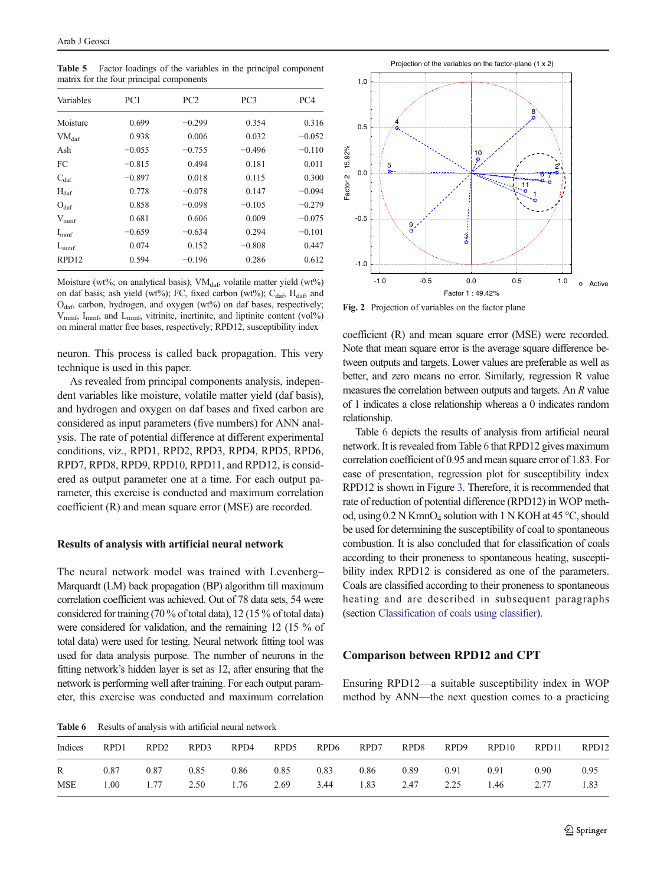<span id="page-8-0"></span>Table 5 Factor loadings of the variables in the principal component matrix for the four principal components

| Variables          | PC <sub>1</sub> | PC <sub>2</sub> | PC <sub>3</sub> | PC <sub>4</sub> |
|--------------------|-----------------|-----------------|-----------------|-----------------|
| Moisture           | 0.699           | $-0.299$        | 0.354           | 0.316           |
| $VM_{\text{daf}}$  | 0.938           | 0.006           | 0.032           | $-0.052$        |
| Ash                | $-0.055$        | $-0.755$        | $-0.496$        | $-0.110$        |
| FC                 | $-0.815$        | 0.494           | 0.181           | 0.011           |
| $C_{\text{daf}}$   | $-0.897$        | 0.018           | 0.115           | 0.300           |
| $H_{\text{def}}$   | 0.778           | $-0.078$        | 0.147           | $-0.094$        |
| $O_{\text{daf}}$   | 0.858           | $-0.098$        | $-0.105$        | $-0.279$        |
| $V_{\text{mmf}}$   | 0.681           | 0.606           | 0.009           | $-0.075$        |
| $_{\mathrm{lmmf}}$ | $-0.659$        | $-0.634$        | 0.294           | $-0.101$        |
| $L_{mmf}$          | 0.074           | 0.152           | $-0.808$        | 0.447           |
| RPD <sub>12</sub>  | 0.594           | $-0.196$        | 0.286           | 0.612           |

Moisture (wt%; on analytical basis);  $VM<sub>data</sub>$ , volatile matter yield (wt%) on daf basis; ash yield (wt%); FC, fixed carbon (wt%);  $C_{\text{daf}}$ ,  $H_{\text{daf}}$  and O<sub>daf</sub>, carbon, hydrogen, and oxygen (wt%) on daf bases, respectively; Vmmf, Immf, and Lmmf, vitrinite, inertinite, and liptinite content (vol%) on mineral matter free bases, respectively; RPD12, susceptibility index

neuron. This process is called back propagation. This very technique is used in this paper.

As revealed from principal components analysis, independent variables like moisture, volatile matter yield (daf basis), and hydrogen and oxygen on daf bases and fixed carbon are considered as input parameters (five numbers) for ANN analysis. The rate of potential difference at different experimental conditions, viz., RPD1, RPD2, RPD3, RPD4, RPD5, RPD6, RPD7, RPD8, RPD9, RPD10, RPD11, and RPD12, is considered as output parameter one at a time. For each output parameter, this exercise is conducted and maximum correlation coefficient (R) and mean square error (MSE) are recorded.

#### Results of analysis with artificial neural network

The neural network model was trained with Levenberg– Marquardt (LM) back propagation (BP) algorithm till maximum correlation coefficient was achieved. Out of 78 data sets, 54 were considered for training (70 % of total data), 12 (15 % of total data) were considered for validation, and the remaining 12 (15 % of total data) were used for testing. Neural network fitting tool was used for data analysis purpose. The number of neurons in the fitting network's hidden layer is set as 12, after ensuring that the network is performing well after training. For each output parameter, this exercise was conducted and maximum correlation

Projection of the variables on the factor-plane (1 x 2) 1.0 8 4 0.5 Factor 2: 15.92% Factor 2 : 15.92% 10 5 2 0.0  $67$ 11 1 -0.5  $\frac{9}{9}$ **3** -1.0 -1.0 -0.5 0.0 0.5 1.0 Active Factor 1 : 49.42%

Fig. 2 Projection of variables on the factor plane

coefficient (R) and mean square error (MSE) were recorded. Note that mean square error is the average square difference between outputs and targets. Lower values are preferable as well as better, and zero means no error. Similarly, regression R value measures the correlation between outputs and targets. An R value of 1 indicates a close relationship whereas a 0 indicates random relationship.

Table 6 depicts the results of analysis from artificial neural network. It is revealed from Table 6 that RPD12 gives maximum correlation coefficient of 0.95 and mean square error of 1.83. For ease of presentation, regression plot for susceptibility index RPD12 is shown in Figure [3](#page-9-0). Therefore, it is recommended that rate of reduction of potential difference (RPD12) in WOP method, using  $0.2$  N KmnO<sub>4</sub> solution with 1 N KOH at 45 °C, should be used for determining the susceptibility of coal to spontaneous combustion. It is also concluded that for classification of coals according to their proneness to spontaneous heating, susceptibility index RPD12 is considered as one of the parameters. Coals are classified according to their proneness to spontaneous heating and are described in subsequent paragraphs (section [Classification of coals using classifier](#page-9-0)).

## Comparison between RPD12 and CPT

Ensuring RPD12—a suitable susceptibility index in WOP method by ANN—the next question comes to a practicing

Table 6 Results of analysis with artificial neural network

| Indices    | RPD1 | RPD <sub>2</sub> | RPD3 | RPD4 | RPD <sub>5</sub> | RPD <sub>6</sub> | RPD7 | RPD <sub>8</sub> | RPD <sub>9</sub> | RPD <sub>10</sub> | RPD <sub>11</sub> | RPD <sub>12</sub> |
|------------|------|------------------|------|------|------------------|------------------|------|------------------|------------------|-------------------|-------------------|-------------------|
| R          | 0.87 | 0.87             | 0.85 | 0.86 | 0.85             | 0.83             | 0.86 | 0.89             | 0.91             | 0.91              | 0.90              | 0.95              |
| <b>MSE</b> | 1.00 | 1.77             | 2.50 | 1.76 | 2.69             | 3.44             | 1.83 | 2.47             | 2.25             | 1.46              | 2.77              | 1.83              |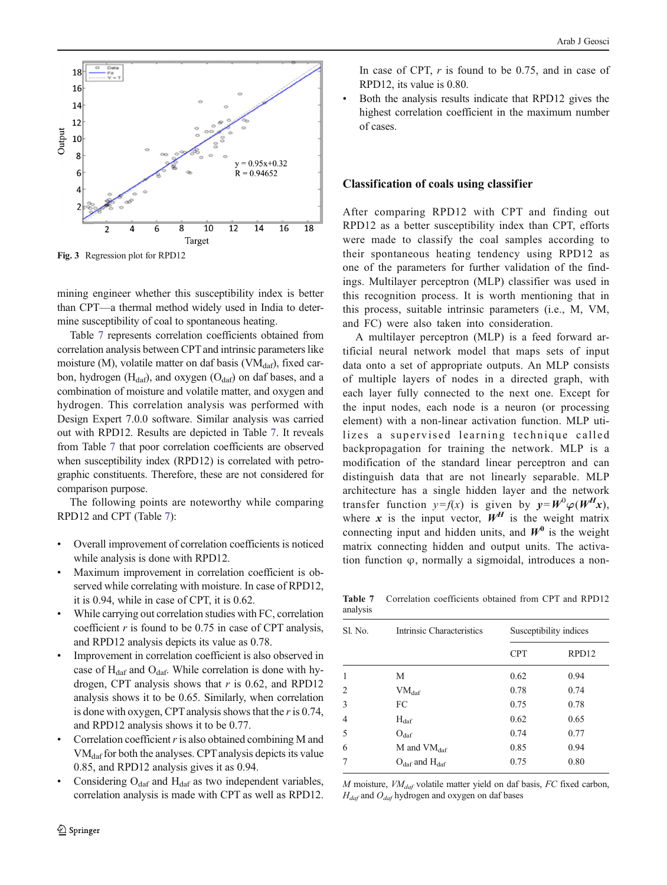<span id="page-9-0"></span>

Fig. 3 Regression plot for RPD12

mining engineer whether this susceptibility index is better than CPT—a thermal method widely used in India to determine susceptibility of coal to spontaneous heating.

Table 7 represents correlation coefficients obtained from correlation analysis between CPT and intrinsic parameters like moisture (M), volatile matter on daf basis (V $M_{\text{daf}}$ ), fixed carbon, hydrogen ( $H_{\text{daf}}$ ), and oxygen ( $O_{\text{daf}}$ ) on daf bases, and a combination of moisture and volatile matter, and oxygen and hydrogen. This correlation analysis was performed with Design Expert 7.0.0 software. Similar analysis was carried out with RPD12. Results are depicted in Table 7. It reveals from Table 7 that poor correlation coefficients are observed when susceptibility index (RPD12) is correlated with petrographic constituents. Therefore, these are not considered for comparison purpose.

The following points are noteworthy while comparing RPD12 and CPT (Table 7):

- & Overall improvement of correlation coefficients is noticed while analysis is done with RPD12.
- Maximum improvement in correlation coefficient is observed while correlating with moisture. In case of RPD12, it is 0.94, while in case of CPT, it is 0.62.
- While carrying out correlation studies with FC, correlation coefficient  $r$  is found to be 0.75 in case of CPT analysis, and RPD12 analysis depicts its value as 0.78.
- Improvement in correlation coefficient is also observed in case of  $H_{\text{daf}}$  and  $O_{\text{daf}}$ . While correlation is done with hydrogen, CPT analysis shows that  $r$  is 0.62, and RPD12 analysis shows it to be 0.65. Similarly, when correlation is done with oxygen, CPT analysis shows that the  $r$  is 0.74, and RPD12 analysis shows it to be 0.77.
- Correlation coefficient  $r$  is also obtained combining M and VMdaf for both the analyses. CPT analysis depicts its value 0.85, and RPD12 analysis gives it as 0.94.
- Considering  $O_{\text{daf}}$  and  $H_{\text{daf}}$  as two independent variables, correlation analysis is made with CPT as well as RPD12.

In case of CPT,  $r$  is found to be 0.75, and in case of RPD12, its value is 0.80.

& Both the analysis results indicate that RPD12 gives the highest correlation coefficient in the maximum number of cases.

## Classification of coals using classifier

After comparing RPD12 with CPT and finding out RPD12 as a better susceptibility index than CPT, efforts were made to classify the coal samples according to their spontaneous heating tendency using RPD12 as one of the parameters for further validation of the findings. Multilayer perceptron (MLP) classifier was used in this recognition process. It is worth mentioning that in this process, suitable intrinsic parameters (i.e., M, VM, and FC) were also taken into consideration.

A multilayer perceptron (MLP) is a feed forward artificial neural network model that maps sets of input data onto a set of appropriate outputs. An MLP consists of multiple layers of nodes in a directed graph, with each layer fully connected to the next one. Except for the input nodes, each node is a neuron (or processing element) with a non-linear activation function. MLP utilizes a supervised learning technique called backpropagation for training the network. MLP is a modification of the standard linear perceptron and can distinguish data that are not linearly separable. MLP architecture has a single hidden layer and the network transfer function  $y = f(x)$  is given by  $y = W^0 \varphi(W^H x)$ , where x is the input vector,  $W^H$  is the weight matrix connecting input and hidden units, and  $W^0$  is the weight matrix connecting hidden and output units. The activation function  $\varphi$ , normally a sigmoidal, introduces a non-

Table 7 Correlation coefficients obtained from CPT and RPD12 analysis

| Sl. No. | Intrinsic Characteristics             | Susceptibility indices |                   |  |  |
|---------|---------------------------------------|------------------------|-------------------|--|--|
|         |                                       | <b>CPT</b>             | RPD <sub>12</sub> |  |  |
|         | М                                     | 0.62                   | 0.94              |  |  |
| 2       | $VM_{\text{daf}}$                     | 0.78                   | 0.74              |  |  |
| 3       | FC                                    | 0.75                   | 0.78              |  |  |
| 4       | $H_{\text{daf}}$                      | 0.62                   | 0.65              |  |  |
| 5       | $O_{\text{daf}}$                      | 0.74                   | 0.77              |  |  |
| 6       | M and $VM_{\text{daf}}$               | 0.85                   | 0.94              |  |  |
|         | $O_{\text{daf}}$ and $H_{\text{daf}}$ | 0.75                   | 0.80              |  |  |

M moisture,  $VM_{dat}$  volatile matter yield on daf basis, FC fixed carbon,  $H_{daf}$  and  $O_{daf}$  hydrogen and oxygen on daf bases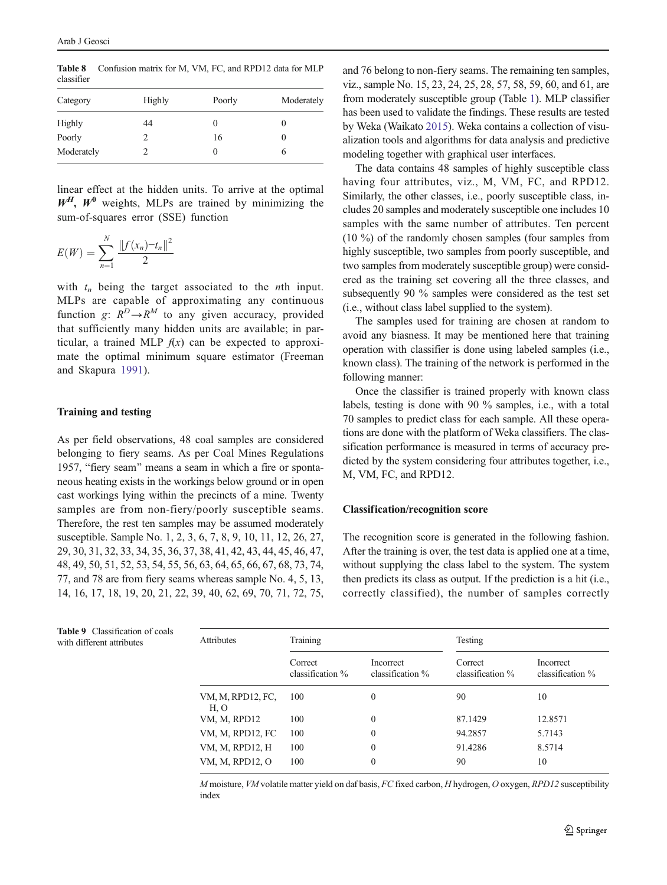<span id="page-10-0"></span>Table 8 Confusion matrix for M, VM, FC, and RPD12 data for MLP classifier

| Category   | Highly | Poorly | Moderately |
|------------|--------|--------|------------|
| Highly     | 44     | $_{0}$ |            |
| Poorly     |        | 16     | O          |
| Moderately |        | $_{0}$ |            |

linear effect at the hidden units. To arrive at the optimal  $W^H$ ,  $W^0$  weights, MLPs are trained by minimizing the sum-of-squares error (SSE) function

$$
E(W) = \sum_{n=1}^{N} \frac{\|f(x_n) - t_n\|^2}{2}
$$

with  $t_n$  being the target associated to the *n*th input. MLPs are capable of approximating any continuous function g:  $R^D \rightarrow R^M$  to any given accuracy, provided that sufficiently many hidden units are available; in particular, a trained MLP  $f(x)$  can be expected to approximate the optimal minimum square estimator (Freeman and Skapura [1991](#page-12-0)).

#### Training and testing

As per field observations, 48 coal samples are considered belonging to fiery seams. As per Coal Mines Regulations 1957, "fiery seam" means a seam in which a fire or spontaneous heating exists in the workings below ground or in open cast workings lying within the precincts of a mine. Twenty samples are from non-fiery/poorly susceptible seams. Therefore, the rest ten samples may be assumed moderately susceptible. Sample No. 1, 2, 3, 6, 7, 8, 9, 10, 11, 12, 26, 27, 29, 30, 31, 32, 33, 34, 35, 36, 37, 38, 41, 42, 43, 44, 45, 46, 47, 48, 49, 50, 51, 52, 53, 54, 55, 56, 63, 64, 65, 66, 67, 68, 73, 74, 77, and 78 are from fiery seams whereas sample No. 4, 5, 13, 14, 16, 17, 18, 19, 20, 21, 22, 39, 40, 62, 69, 70, 71, 72, 75,

and 76 belong to non-fiery seams. The remaining ten samples, viz., sample No. 15, 23, 24, 25, 28, 57, 58, 59, 60, and 61, are from moderately susceptible group (Table [1](#page-3-0)). MLP classifier has been used to validate the findings. These results are tested by Weka (Waikato [2015](#page-13-0)). Weka contains a collection of visualization tools and algorithms for data analysis and predictive modeling together with graphical user interfaces.

The data contains 48 samples of highly susceptible class having four attributes, viz., M, VM, FC, and RPD12. Similarly, the other classes, i.e., poorly susceptible class, includes 20 samples and moderately susceptible one includes 10 samples with the same number of attributes. Ten percent (10 %) of the randomly chosen samples (four samples from highly susceptible, two samples from poorly susceptible, and two samples from moderately susceptible group) were considered as the training set covering all the three classes, and subsequently 90 % samples were considered as the test set (i.e., without class label supplied to the system).

The samples used for training are chosen at random to avoid any biasness. It may be mentioned here that training operation with classifier is done using labeled samples (i.e., known class). The training of the network is performed in the following manner:

Once the classifier is trained properly with known class labels, testing is done with 90 % samples, i.e., with a total 70 samples to predict class for each sample. All these operations are done with the platform of Weka classifiers. The classification performance is measured in terms of accuracy predicted by the system considering four attributes together, i.e., M, VM, FC, and RPD12.

## Classification/recognition score

The recognition score is generated in the following fashion. After the training is over, the test data is applied one at a time, without supplying the class label to the system. The system then predicts its class as output. If the prediction is a hit (i.e., correctly classified), the number of samples correctly

| <b>Attributes</b>        | Training                       |                                  | Testing                        |                                  |  |  |
|--------------------------|--------------------------------|----------------------------------|--------------------------------|----------------------------------|--|--|
|                          | Correct<br>classification $\%$ | Incorrect<br>classification $\%$ | Correct<br>classification $\%$ | Incorrect<br>classification $\%$ |  |  |
| VM, M, RPD12, FC,<br>H.O | 100                            | $\mathbf{0}$                     | 90                             | 10                               |  |  |
| VM, M, RPD12             | 100                            | $\theta$                         | 87.1429                        | 12.8571                          |  |  |
| VM, M, RPD12, FC         | 100                            | $\mathbf{0}$                     | 94.2857                        | 5.7143                           |  |  |
| VM, M, RPD12, H          | 100                            | $\theta$                         | 91.4286                        | 8.5714                           |  |  |
| VM, M, RPD12, O          | 100                            | $\boldsymbol{0}$                 | 90                             | 10                               |  |  |
|                          |                                |                                  |                                |                                  |  |  |

M moisture, VM volatile matter yield on daf basis, FC fixed carbon, H hydrogen, O oxygen, RPD12 susceptibility index

| <b>Table 9</b> Classification of coals |  |
|----------------------------------------|--|
| with different attributes              |  |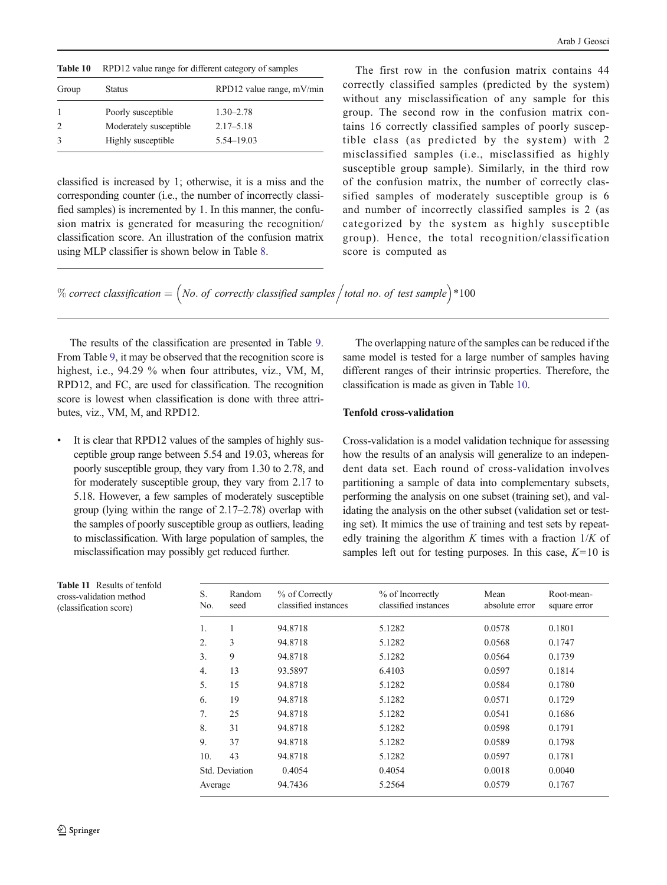<span id="page-11-0"></span>

| <b>Table 10</b> RPD12 value range for different category of samples |  |  |  |
|---------------------------------------------------------------------|--|--|--|
|---------------------------------------------------------------------|--|--|--|

| Group | <b>Status</b>          | RPD12 value range, mV/min |
|-------|------------------------|---------------------------|
|       | Poorly susceptible     | $1.30 - 2.78$             |
|       | Moderately susceptible | $2.17 - 5.18$             |
|       | Highly susceptible     | 5.54 - 19.03              |

classified is increased by 1; otherwise, it is a miss and the corresponding counter (i.e., the number of incorrectly classified samples) is incremented by 1. In this manner, the confusion matrix is generated for measuring the recognition/ classification score. An illustration of the confusion matrix using MLP classifier is shown below in Table [8](#page-10-0).

The first row in the confusion matrix contains 44 correctly classified samples (predicted by the system) without any misclassification of any sample for this group. The second row in the confusion matrix contains 16 correctly classified samples of poorly susceptible class (as predicted by the system) with 2 misclassified samples (i.e., misclassified as highly susceptible group sample). Similarly, in the third row of the confusion matrix, the number of correctly classified samples of moderately susceptible group is 6 and number of incorrectly classified samples is 2 (as categorized by the system as highly susceptible group). Hence, the total recognition/classification score is computed as

 $\%$  correct classification  $=\Big(No.\ of\ correctly\ classified\ samples\Big/total\ no.\ of\ test\ sample\Big)*100$ 

The results of the classification are presented in Table [9.](#page-10-0) From Table [9,](#page-10-0) it may be observed that the recognition score is highest, i.e., 94.29 % when four attributes, viz., VM, M, RPD12, and FC, are used for classification. The recognition score is lowest when classification is done with three attributes, viz., VM, M, and RPD12.

It is clear that RPD12 values of the samples of highly susceptible group range between 5.54 and 19.03, whereas for poorly susceptible group, they vary from 1.30 to 2.78, and for moderately susceptible group, they vary from 2.17 to 5.18. However, a few samples of moderately susceptible group (lying within the range of 2.17–2.78) overlap with the samples of poorly susceptible group as outliers, leading to misclassification. With large population of samples, the misclassification may possibly get reduced further.

The overlapping nature of the samples can be reduced if the same model is tested for a large number of samples having different ranges of their intrinsic properties. Therefore, the classification is made as given in Table 10.

## Tenfold cross-validation

Cross-validation is a model validation technique for assessing how the results of an analysis will generalize to an independent data set. Each round of cross-validation involves partitioning a sample of data into complementary subsets, performing the analysis on one subset (training set), and validating the analysis on the other subset (validation set or testing set). It mimics the use of training and test sets by repeatedly training the algorithm  $K$  times with a fraction  $1/K$  of samples left out for testing purposes. In this case,  $K=10$  is

| S.<br>No. | Random<br>seed | % of Correctly<br>classified instances | % of Incorrectly<br>classified instances | Mean<br>absolute error | Root-mean-<br>square error |
|-----------|----------------|----------------------------------------|------------------------------------------|------------------------|----------------------------|
| 1.        | 1              | 94.8718                                | 5.1282                                   | 0.0578                 | 0.1801                     |
| 2.        | 3              | 94.8718                                | 5.1282                                   | 0.0568                 | 0.1747                     |
| 3.        | 9              | 94.8718                                | 5.1282                                   | 0.0564                 | 0.1739                     |
| 4.        | 13             | 93.5897                                | 6.4103                                   | 0.0597                 | 0.1814                     |
| 5.        | 15             | 94.8718                                | 5.1282                                   | 0.0584                 | 0.1780                     |
| 6.        | 19             | 94.8718                                | 5.1282                                   | 0.0571                 | 0.1729                     |
| 7.        | 25             | 94.8718                                | 5.1282                                   | 0.0541                 | 0.1686                     |
| 8.        | 31             | 94.8718                                | 5.1282                                   | 0.0598                 | 0.1791                     |
| 9.        | 37             | 94.8718                                | 5.1282                                   | 0.0589                 | 0.1798                     |
| 10.       | 43             | 94.8718                                | 5.1282                                   | 0.0597                 | 0.1781                     |
|           | Std. Deviation | 0.4054                                 | 0.4054                                   | 0.0018                 | 0.0040                     |
| Average   |                | 94.7436                                | 5.2564                                   | 0.0579                 | 0.1767                     |

Table 11 Results of tenfold cross-validation method (classification score)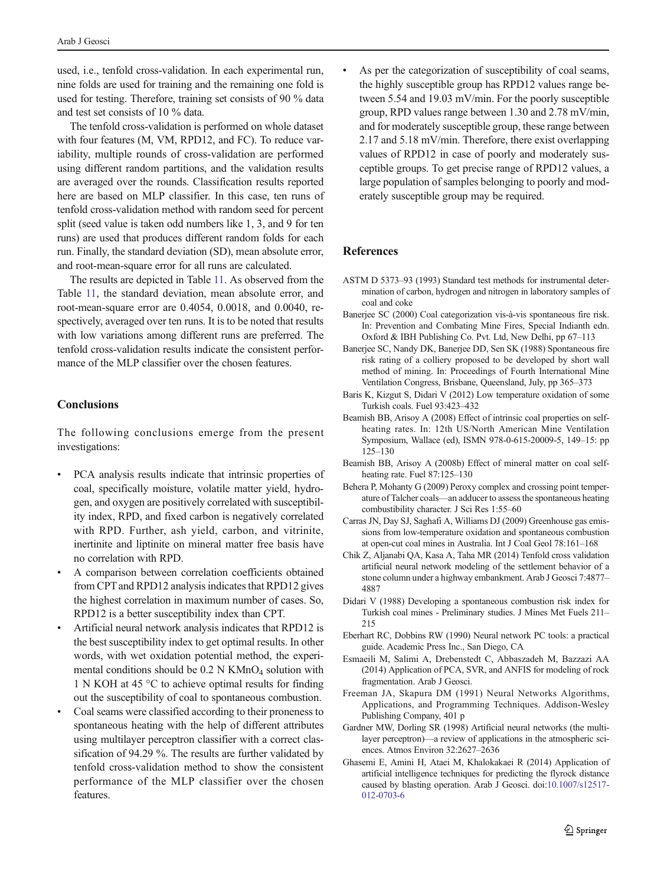<span id="page-12-0"></span>used, i.e., tenfold cross-validation. In each experimental run, nine folds are used for training and the remaining one fold is used for testing. Therefore, training set consists of 90 % data and test set consists of 10 % data.

The tenfold cross-validation is performed on whole dataset with four features (M, VM, RPD12, and FC). To reduce variability, multiple rounds of cross-validation are performed using different random partitions, and the validation results are averaged over the rounds. Classification results reported here are based on MLP classifier. In this case, ten runs of tenfold cross-validation method with random seed for percent split (seed value is taken odd numbers like 1, 3, and 9 for ten runs) are used that produces different random folds for each run. Finally, the standard deviation (SD), mean absolute error, and root-mean-square error for all runs are calculated.

The results are depicted in Table [11](#page-11-0). As observed from the Table [11](#page-11-0), the standard deviation, mean absolute error, and root-mean-square error are 0.4054, 0.0018, and 0.0040, respectively, averaged over ten runs. It is to be noted that results with low variations among different runs are preferred. The tenfold cross-validation results indicate the consistent performance of the MLP classifier over the chosen features.

# **Conclusions**

The following conclusions emerge from the present investigations:

- PCA analysis results indicate that intrinsic properties of coal, specifically moisture, volatile matter yield, hydrogen, and oxygen are positively correlated with susceptibility index, RPD, and fixed carbon is negatively correlated with RPD. Further, ash yield, carbon, and vitrinite, inertinite and liptinite on mineral matter free basis have no correlation with RPD.
- & A comparison between correlation coefficients obtained from CPT and RPD12 analysis indicates that RPD12 gives the highest correlation in maximum number of cases. So, RPD12 is a better susceptibility index than CPT.
- & Artificial neural network analysis indicates that RPD12 is the best susceptibility index to get optimal results. In other words, with wet oxidation potential method, the experimental conditions should be  $0.2$  N KMnO<sub>4</sub> solution with 1 N KOH at 45 °C to achieve optimal results for finding out the susceptibility of coal to spontaneous combustion.
- & Coal seams were classified according to their proneness to spontaneous heating with the help of different attributes using multilayer perceptron classifier with a correct classification of 94.29 %. The results are further validated by tenfold cross-validation method to show the consistent performance of the MLP classifier over the chosen features.

As per the categorization of susceptibility of coal seams, the highly susceptible group has RPD12 values range between 5.54 and 19.03 mV/min. For the poorly susceptible group, RPD values range between 1.30 and 2.78 mV/min, and for moderately susceptible group, these range between 2.17 and 5.18 mV/min. Therefore, there exist overlapping values of RPD12 in case of poorly and moderately susceptible groups. To get precise range of RPD12 values, a large population of samples belonging to poorly and moderately susceptible group may be required.

## References

- ASTM D 5373–93 (1993) Standard test methods for instrumental determination of carbon, hydrogen and nitrogen in laboratory samples of coal and coke
- Banerjee SC (2000) Coal categorization vis-à-vis spontaneous fire risk. In: Prevention and Combating Mine Fires, Special Indianth edn. Oxford & IBH Publishing Co. Pvt. Ltd, New Delhi, pp 67–113
- Banerjee SC, Nandy DK, Banerjee DD, Sen SK (1988) Spontaneous fire risk rating of a colliery proposed to be developed by short wall method of mining. In: Proceedings of Fourth International Mine Ventilation Congress, Brisbane, Queensland, July, pp 365–373
- Baris K, Kizgut S, Didari V (2012) Low temperature oxidation of some Turkish coals. Fuel 93:423–432
- Beamish BB, Arisoy A (2008) Effect of intrinsic coal properties on selfheating rates. In: 12th US/North American Mine Ventilation Symposium, Wallace (ed), ISMN 978-0-615-20009-5, 149–15: pp 125–130
- Beamish BB, Arisoy A (2008b) Effect of mineral matter on coal selfheating rate. Fuel 87:125–130
- Behera P, Mohanty G (2009) Peroxy complex and crossing point temperature of Talcher coals—an adducer to assess the spontaneous heating combustibility character. J Sci Res 1:55–60
- Carras JN, Day SJ, Saghafi A, Williams DJ (2009) Greenhouse gas emissions from low-temperature oxidation and spontaneous combustion at open-cut coal mines in Australia. Int J Coal Geol 78:161–168
- Chik Z, Aljanabi QA, Kasa A, Taha MR (2014) Tenfold cross validation artificial neural network modeling of the settlement behavior of a stone column under a highway embankment. Arab J Geosci 7:4877– 4887
- Didari V (1988) Developing a spontaneous combustion risk index for Turkish coal mines - Preliminary studies. J Mines Met Fuels 211– 215
- Eberhart RC, Dobbins RW (1990) Neural network PC tools: a practical guide. Academic Press Inc., San Diego, CA
- Esmaeili M, Salimi A, Drebenstedt C, Abbaszadeh M, Bazzazi AA (2014) Application of PCA, SVR, and ANFIS for modeling of rock fragmentation. Arab J Geosci.
- Freeman JA, Skapura DM (1991) Neural Networks Algorithms, Applications, and Programming Techniques. Addison-Wesley Publishing Company, 401 p
- Gardner MW, Dorling SR (1998) Artificial neural networks (the multilayer perceptron)—a review of applications in the atmospheric sciences. Atmos Environ 32:2627–2636
- Ghasemi E, Amini H, Ataei M, Khalokakaei R (2014) Application of artificial intelligence techniques for predicting the flyrock distance caused by blasting operation. Arab J Geosci. doi:[10.1007/s12517-](http://dx.doi.org/10.1007/s12517-012-0703-6) [012-0703-6](http://dx.doi.org/10.1007/s12517-012-0703-6)